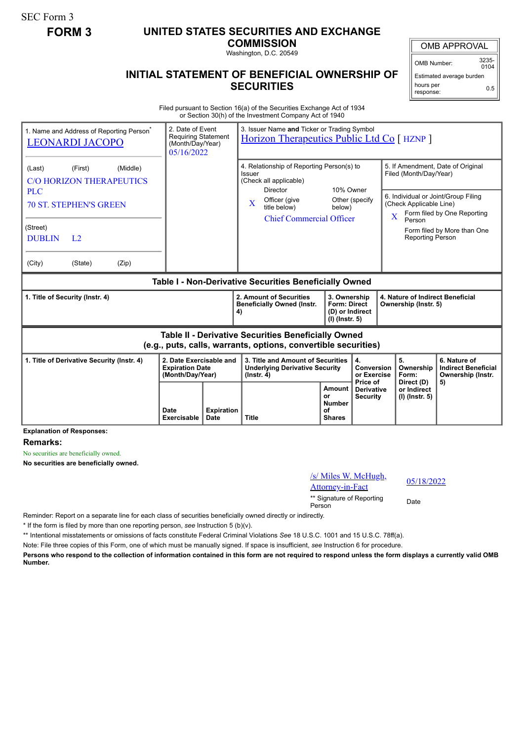SEC Form 3

## **FORM 3 UNITED STATES SECURITIES AND EXCHANGE**

**COMMISSION** Washington, D.C. 20549

OMB APPROVAL

OMB Number: 3235-  $0104$ 

Estimated average burden hours per response: 0.5

## **INITIAL STATEMENT OF BENEFICIAL OWNERSHIP OF SECURITIES**

Filed pursuant to Section 16(a) of the Securities Exchange Act of 1934 or Section 30(h) of the Investment Company Act of 1940

| 1. Name and Address of Reporting Person <sup>®</sup><br><b>LEONARDI JACOPO</b>                                               | 2. Date of Event<br><b>Requiring Statement</b><br>(Month/Day/Year)<br>05/16/2022 |                           | 3. Issuer Name and Ticker or Trading Symbol<br>Horizon Therapeutics Public Ltd Co [ HZNP ]             |                                                      |                                                                                                                                      |                                                                                                    |                                                                 |  |
|------------------------------------------------------------------------------------------------------------------------------|----------------------------------------------------------------------------------|---------------------------|--------------------------------------------------------------------------------------------------------|------------------------------------------------------|--------------------------------------------------------------------------------------------------------------------------------------|----------------------------------------------------------------------------------------------------|-----------------------------------------------------------------|--|
| (First)<br>(Middle)<br>(Last)<br><b>C/O HORIZON THERAPEUTICS</b><br><b>PLC</b>                                               |                                                                                  |                           | 4. Relationship of Reporting Person(s) to<br>Issuer<br>(Check all applicable)<br>10% Owner<br>Director |                                                      |                                                                                                                                      | 5. If Amendment, Date of Original<br>Filed (Month/Day/Year)<br>6. Individual or Joint/Group Filing |                                                                 |  |
| <b>70 ST. STEPHEN'S GREEN</b>                                                                                                |                                                                                  |                           | Officer (give<br>$\mathbf{X}$<br>title below)<br><b>Chief Commercial Officer</b>                       | below)                                               | Other (specify                                                                                                                       | (Check Applicable Line)<br>Form filed by One Reporting<br>$\overline{\mathbf{X}}$<br>Person        |                                                                 |  |
| (Street)<br><b>DUBLIN</b><br>L <sub>2</sub>                                                                                  |                                                                                  |                           |                                                                                                        |                                                      |                                                                                                                                      | <b>Reporting Person</b>                                                                            | Form filed by More than One                                     |  |
| (City)<br>(State)<br>(Zip)                                                                                                   |                                                                                  |                           |                                                                                                        |                                                      |                                                                                                                                      |                                                                                                    |                                                                 |  |
| Table I - Non-Derivative Securities Beneficially Owned                                                                       |                                                                                  |                           |                                                                                                        |                                                      |                                                                                                                                      |                                                                                                    |                                                                 |  |
| 1. Title of Security (Instr. 4)                                                                                              |                                                                                  |                           | 2. Amount of Securities<br><b>Beneficially Owned (Instr.</b><br>4)                                     |                                                      | 3. Ownership<br>4. Nature of Indirect Beneficial<br><b>Form: Direct</b><br>Ownership (Instr. 5)<br>(D) or Indirect<br>(I) (Instr. 5) |                                                                                                    |                                                                 |  |
| <b>Table II - Derivative Securities Beneficially Owned</b><br>(e.g., puts, calls, warrants, options, convertible securities) |                                                                                  |                           |                                                                                                        |                                                      |                                                                                                                                      |                                                                                                    |                                                                 |  |
| 2. Date Exercisable and<br>1. Title of Derivative Security (Instr. 4)<br><b>Expiration Date</b><br>(Month/Day/Year)          |                                                                                  |                           | 3. Title and Amount of Securities<br><b>Underlying Derivative Security</b><br>$($ lnstr. 4 $)$         |                                                      | 4.<br><b>Conversion</b><br>or Exercise<br>Price of                                                                                   | 5.<br>Ownership<br>Form:                                                                           | 6. Nature of<br><b>Indirect Beneficial</b><br>Ownership (Instr. |  |
|                                                                                                                              | Date<br><b>Exercisable</b>                                                       | <b>Expiration</b><br>Date | <b>Title</b>                                                                                           | Amount<br>Ωr<br><b>Number</b><br>Ωf<br><b>Shares</b> | <b>Derivative</b><br><b>Security</b>                                                                                                 | Direct (D)<br>or Indirect<br>(I) (Instr. 5)                                                        | 5)                                                              |  |

**Explanation of Responses:**

**Remarks:**

No securities are beneficially owned.

**No securities are beneficially owned.**

| /s/ Miles W. McHugh,<br><b>Attorney-in-Fact</b> | 05/1 |
|-------------------------------------------------|------|
| ** Signature of Reporting<br>Person             | Date |

05/18/2022

Reminder: Report on a separate line for each class of securities beneficially owned directly or indirectly.

\* If the form is filed by more than one reporting person, *see* Instruction 5 (b)(v).

\*\* Intentional misstatements or omissions of facts constitute Federal Criminal Violations *See* 18 U.S.C. 1001 and 15 U.S.C. 78ff(a).

Note: File three copies of this Form, one of which must be manually signed. If space is insufficient, *see* Instruction 6 for procedure.

**Persons who respond to the collection of information contained in this form are not required to respond unless the form displays a currently valid OMB Number.**